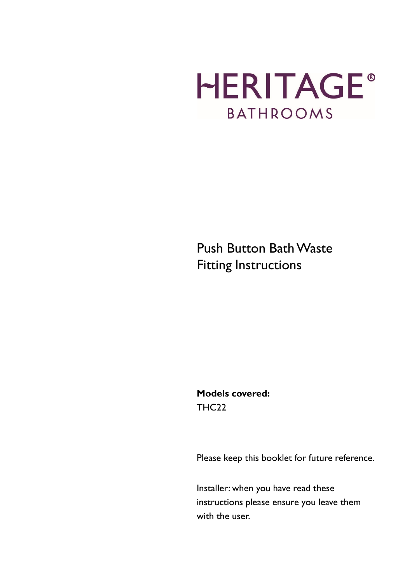# **HERITAGE® BATHROOMS**

Push Button Bath Waste Fitting Instructions

Models covered: THC<sub>22</sub>

Please keep this booklet for future reference.

Installer: when you have read these instructions please ensure you leave them with the user.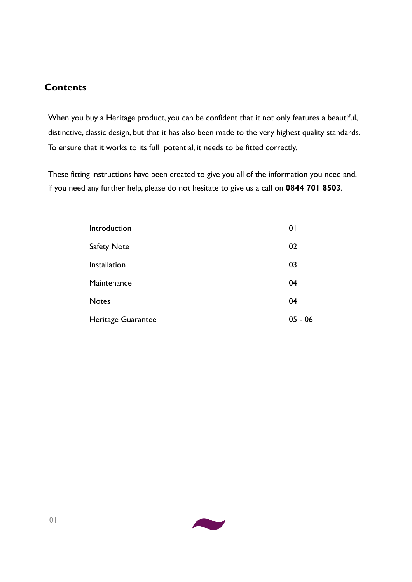#### **Contents**

When you buy a Heritage product, you can be confident that it not only features a beautiful, distinctive, classic design, but that it has also been made to the very highest quality standards. To ensure that it works to its full potential, it needs to be fitted correctly.

These fitting instructions have been created to give you all of the information you need and, if you need any further help, please do not hesitate to give us a call on 0844 701 8503.

| Introduction       | $\overline{0}$ |
|--------------------|----------------|
| Safety Note        | 02             |
| Installation       | 03             |
| Maintenance        | 04             |
| <b>Notes</b>       | 04             |
| Heritage Guarantee | $05 - 06$      |

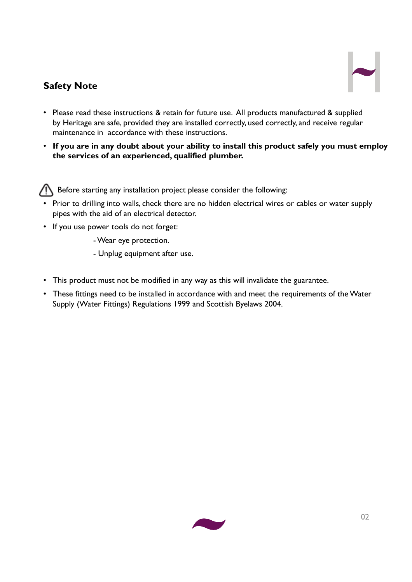## Safety Note



- Please read these instructions & retain for future use. All products manufactured & supplied by Heritage are safe, provided they are installed correctly, used correctly, and receive regular maintenance in accordance with these instructions.
- If you are in any doubt about your ability to install this product safely you must employ the services of an experienced, qualified plumber.

Before starting any installation project please consider the following:

- Prior to drilling into walls, check there are no hidden electrical wires or cables or water supply pipes with the aid of an electrical detector.
- If you use power tools do not forget:

- Wear eye protection.

- Unplug equipment after use.
- This product must not be modified in any way as this will invalidate the guarantee.
- These fittings need to be installed in accordance with and meet the requirements of the Water Supply (Water Fittings) Regulations 1999 and Scottish Byelaws 2004.

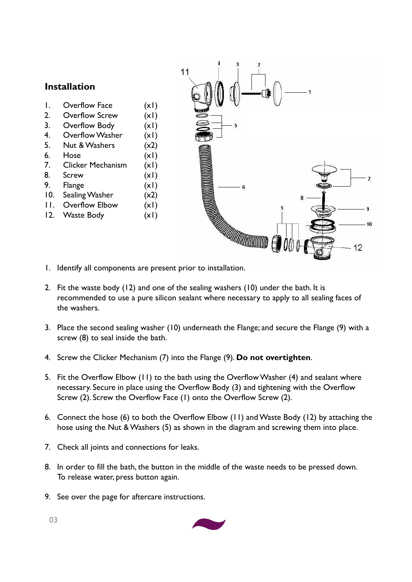

- 1. Overflow Face (x1)
- 2. Overflow Screw (x1)
- 3. Overflow Body (x1)
- 4. Overflow Washer (x1)
- 5. Nut & Washers (x2) 6. Hose (x1)
- 
- 7. Clicker Mechanism (x1)
- 8. Screw (x1)
- 9. Flange (x1)
- 10. Sealing Washer (x2)
- 11. Overflow Elbow (x1)
- 12. Waste Body (x1)



2. Fit the waste body (12) and one of the sealing washers (10) under the bath. It is recommended to use a pure silicon sealant where necessary to apply to all sealing faces of the washers.

ĥ

**MANARA COMMUNICATION COMMUNICATION** 

10

 $12$ 

- 3. Place the second sealing washer (10) underneath the Flange; and secure the Flange (9) with a screw (8) to seal inside the bath.
- 4. Screw the Clicker Mechanism (7) into the Flange (9). Do not overtighten.

 $11$ 

- 5. Fit the Overflow Elbow (11) to the bath using the Overflow Washer (4) and sealant where necessary. Secure in place using the Overflow Body (3) and tightening with the Overflow Screw (2). Screw the Overflow Face (1) onto the Overflow Screw (2).
- 6. Connect the hose (6) to both the Overflow Elbow (11) and Waste Body (12) by attaching the hose using the Nut & Washers (5) as shown in the diagram and screwing them into place.
- 7. Check all joints and connections for leaks.
- 8. In order to fill the bath, the button in the middle of the waste needs to be pressed down. To release water, press button again.
- 9. See over the page for aftercare instructions.

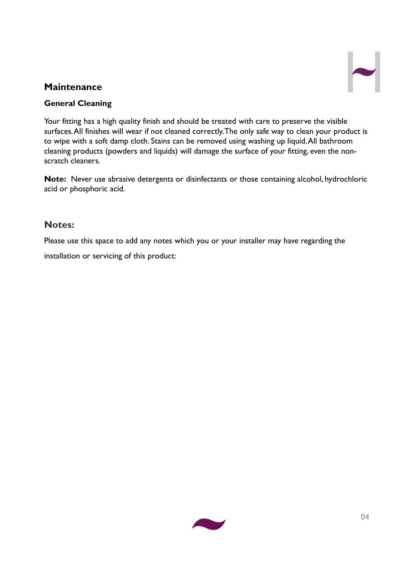### **Maintenance**

#### General Cleaning

Your fitting has a high quality finish and should be treated with care to preserve the visible surfaces. All finishes will wear if not cleaned correctly. The only safe way to clean your product is to wipe with a soft damp cloth. Stains can be removed using washing up liquid. All bathroom cleaning products (powders and liquids) will damage the surface of your fitting, even the nonscratch cleaners.

Note: Never use abrasive detergents or disinfectants or those containing alcohol, hydrochloric acid or phosphoric acid.

#### Notes:

Please use this space to add any notes which you or your installer may have regarding the

installation or servicing of this product:

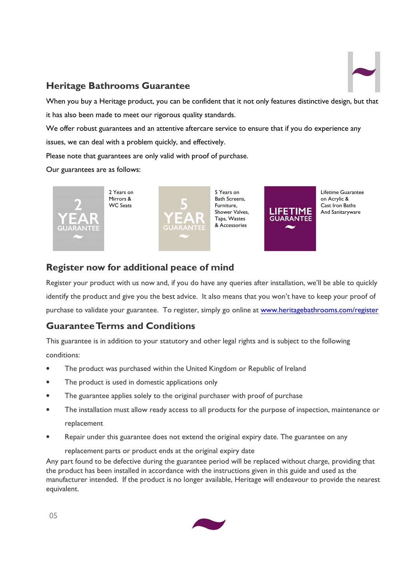

#### Heritage Bathrooms Guarantee

When you buy a Heritage product, you can be confident that it not only features distinctive design, but that it has also been made to meet our rigorous quality standards.

We offer robust guarantees and an attentive aftercare service to ensure that if you do experience any issues, we can deal with a problem quickly, and effectively.

Please note that guarantees are only valid with proof of purchase.

Our guarantees are as follows:



Lifetime Guarantee on Acrylic & Cast Iron Baths And Sanitaryware

## Register now for additional peace of mind

Register your product with us now and, if you do have any queries after installation, we'll be able to quickly identify the product and give you the best advice. It also means that you won't have to keep your proof of purchase to validate your guarantee. To register, simply go online at www.heritagebathrooms.com/register

# Guarantee Terms and Conditions

This guarantee is in addition to your statutory and other legal rights and is subject to the following conditions:

- The product was purchased within the United Kingdom or Republic of Ireland
- The product is used in domestic applications only
- The guarantee applies solely to the original purchaser with proof of purchase
- The installation must allow ready access to all products for the purpose of inspection, maintenance or replacement
- Repair under this guarantee does not extend the original expiry date. The guarantee on any

replacement parts or product ends at the original expiry date

Any part found to be defective during the guarantee period will be replaced without charge, providing that the product has been installed in accordance with the instructions given in this guide and used as the manufacturer intended. If the product is no longer available, Heritage will endeavour to provide the nearest equivalent.

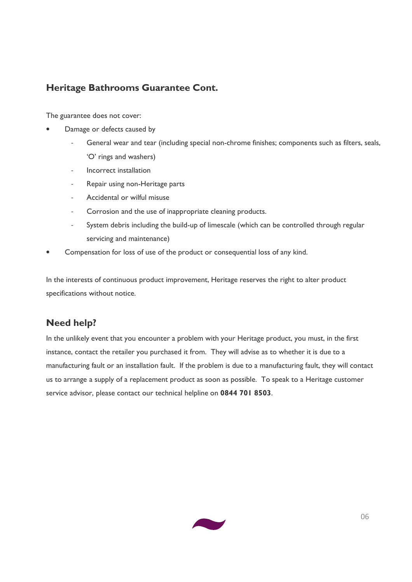## Heritage Bathrooms Guarantee Cont.

The guarantee does not cover:

- Damage or defects caused by
	- General wear and tear (including special non-chrome finishes; components such as filters, seals, 'O' rings and washers)
	- Incorrect installation
	- Repair using non-Heritage parts
	- Accidental or wilful misuse
	- Corrosion and the use of inappropriate cleaning products.
	- System debris including the build-up of limescale (which can be controlled through regular servicing and maintenance)
- Compensation for loss of use of the product or consequential loss of any kind.

In the interests of continuous product improvement, Heritage reserves the right to alter product specifications without notice.

#### Need help?

In the unlikely event that you encounter a problem with your Heritage product, you must, in the first instance, contact the retailer you purchased it from. They will advise as to whether it is due to a manufacturing fault or an installation fault. If the problem is due to a manufacturing fault, they will contact us to arrange a supply of a replacement product as soon as possible. To speak to a Heritage customer service advisor, please contact our technical helpline on 0844 701 8503.